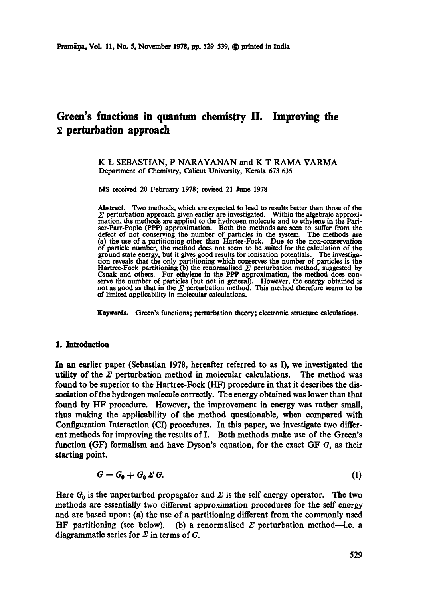# **Green's functions in quantum chemistry H. Improving the ]: perturbation approach**

#### K L SEBASTIAN, P NARAYANAN and K T RAMA VARMA Department of Chemistry, Calicut University, Kerala 673 635

MS received 20 February 1978; revised 21 June 1978

Abstract. Two methods, which are expected to lead to results better than those of the  $\Sigma$  perturbation approach given earlier are investigated. Within the algebraic approximation, the methods are applied to the hydrogen molecule and to ethylene in the Pariser-Parr-Pople (PPP) approximation. Both the methods are seen to suffer from the defect of not conserving the number of particles in the system. The methods are (a) the use of a partitioning other than Hartee-Fock. Due to the non-conservation of particle number, the method does not seem to be suited for the calculation of the ground state energy, but it gives good results for ionisation potentials. The investigation reveals that the only partitioning which conserves the number of particles is the Hartree-Fock partitioning (b) the renormalised  $\Sigma$  perturbation method, suggested by Csnak and others. For ethylene in the PPP approximation, the method does conserve the number of particles (but not in general). However, the energy obtained is not as good as that in the  $\Sigma$  perturbation method. This method therefore seems to be of limited applicability in molecular calculations.

**Keywords.** Green's functions; perturbation theory; electronic structure calculations.

#### **1. Iatroduetlon**

In an earlier paper (Sebastian 1978, hereafter referred to as I), we investigated the utility of the  $\Sigma$  perturbation method in molecular calculations. The method was found to be superior to the Hartree-Fock (HF) procedure in that it describes the dissociation ofthe hydrogen molecule correctly. The energy obtained was lower than that found by HF procedure. However, the improvement in energy was rather small, thus making the applicability of the method questionable, when compared with Configuration Interaction (CI) procedures. In this paper, we investigate two different methods for improving the results of I. Both methods make use of the Green's function (GF) formalism and have Dyson's equation, for the exact GF G, as their starting point.

$$
G = G_0 + G_0 \Sigma G. \tag{1}
$$

Here  $G_0$  is the unperturbed propagator and  $\Sigma$  is the self energy operator. The two methods are essentially two different approximation procedures for the self energy and are based upon: (a) the use of a partitioning different from the commonly used HF partitioning (see below). (b) a renormalised  $\Sigma$  perturbation method-i.e. a diagrammatic series for  $\Sigma$  in terms of G.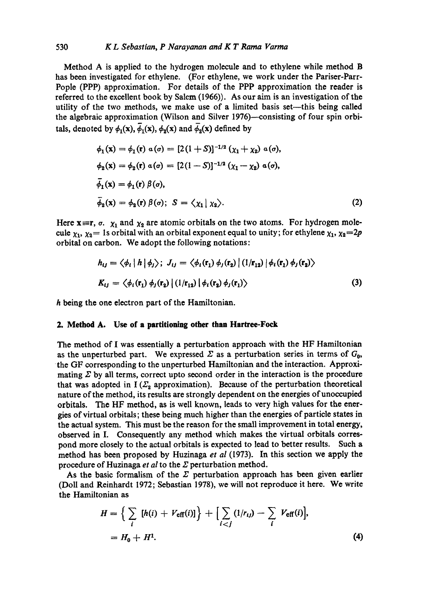### 530 *K L Sebastian, P Narayanan and K T Rama Varma*

Method A is applied to the hydrogen molecule and to ethylene while method B has been investigated for ethylene. (For ethylene, we work under the Pariser-Parr-Pople (PPP) approximation. For details of the PPP approximation the reader is referred to the excellent book by Salem (1966)). As our aim is an investigation of the utility of the two methods, we make use of a limited basis set-this being called the algebraic approximation (Wilson and Silver 1976)--consisting of four spin orbitals, denoted by  $\phi_1(x)$ ,  $\overline{\phi}_1(x)$ ,  $\phi_2(x)$  and  $\overline{\phi}_2(x)$  defined by

$$
\phi_1(\mathbf{x}) = \phi_1(\mathbf{r}) \ a(\sigma) = [2(1+S)]^{-1/2} (\chi_1 + \chi_2) \ a(\sigma),
$$
  
\n
$$
\phi_2(\mathbf{x}) = \phi_2(\mathbf{r}) \ a(\sigma) = [2(1-S)]^{-1/2} (\chi_1 - \chi_2) \ a(\sigma),
$$
  
\n
$$
\bar{\phi}_1(\mathbf{x}) = \phi_1(\mathbf{r}) \ \beta(\sigma),
$$
  
\n
$$
\bar{\phi}_2(\mathbf{x}) = \phi_2(\mathbf{r}) \ \beta(\sigma); \ S = \langle \chi_1 | \ \chi_2 \rangle.
$$
  
\n(2)

Here  $x=r$ ,  $\sigma$ .  $\chi_1$  and  $\chi_2$  are atomic orbitals on the two atoms. For hydrogen molecule  $\chi_1, \chi_2 = 1$ s orbital with an orbital exponent equal to unity; for ethylene  $\chi_1, \chi_2 = 2p$ orbital on carbon. We adopt the following notations:

$$
h_{ij} = \langle \phi_i | h | \phi_j \rangle; J_{ij} = \langle \phi_i(\mathbf{r}_1) \phi_j(\mathbf{r}_2) | (1/\mathbf{r}_{12}) | \phi_i(\mathbf{r}_1) \phi_j(\mathbf{r}_2) \rangle
$$
  

$$
K_{ij} = \langle \phi_i(\mathbf{r}_1) \phi_j(\mathbf{r}_2) | (1/\mathbf{r}_{12}) | \phi_i(\mathbf{r}_2) \phi_j(\mathbf{r}_1) \rangle
$$
(3)

h being the one electron part of the Hamiltonian.

# **2. Method A. Use of a partitioning other than Hartree-Fock**

The method of I was essentially a perturbation approach with the HF Hamiltonian as the unperturbed part. We expressed  $\Sigma$  as a perturbation series in terms of  $G_0$ , the GF corresponding to the unperturbed Hamiltonian and the interaction. Approximating  $\Sigma$  by all terms, correct upto second order in the interaction is the procedure that was adopted in  $I(\mathcal{L}_2)$  approximation). Because of the perturbation theoretical nature of the method, its results are strongly dependent on the energies of unoccupied orbitals. The HF method, as is well known, leads to very high values for the energies of virtual orbitals; these being much higher than the energies of particle states in the actual system. This must be the reason for the small improvement in total energy, observed in I. Consequently any method which makes the virtual orbitals correspond more closely to the actual orbitals is expected to lead to better results. Such a method has been proposed by Huzinaga *et al* (1973). In this section we apply the procedure of Huzinaga *et al* to the  $\Sigma$  perturbation method.

As the basic formalism of the  $\Sigma$  perturbation approach has been given earlier (Doll and Reinhardt 1972; Sebastian 1978), we will not reproduce it here. We write the Hamiltonian as

$$
H = \left\{ \sum_{i} [h(i) + V_{\text{eff}}(i)] \right\} + \left[ \sum_{i < j} (1/r_{ij}) - \sum_{i} V_{\text{eff}}(i) \right],
$$
\n
$$
= H_0 + H^1. \tag{4}
$$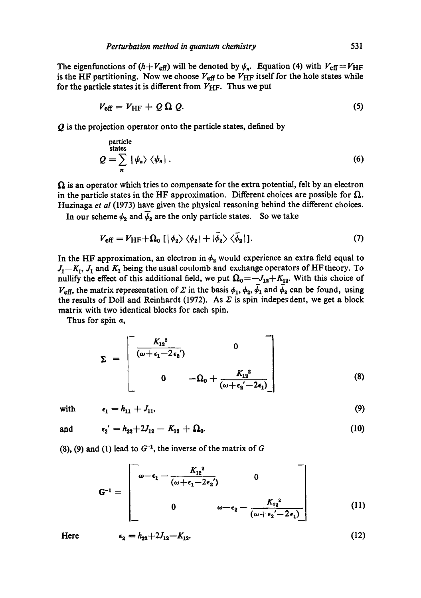The eigenfunctions of  $(h+V_{eff})$  will be denoted by  $\psi_n$ . Equation (4) with  $V_{eff} = V_{HF}$ is the HF partitioning. Now we choose  $V_{\text{eff}}$  to be  $V_{\text{HF}}$  itself for the hole states while for the particle states it is different from  $V_{\text{HF}}$ . Thus we put

$$
V_{\text{eff}} = V_{\text{HF}} + Q \Omega Q. \tag{5}
$$

Q is the projection operator onto the particle states, defined by

particle  
states  

$$
Q = \sum_{n} |\psi_{n}\rangle \langle \psi_{n}|.
$$
 (6)

 $\Omega$  is an operator which tries to compensate for the extra potential, felt by an electron in the particle states in the HF approximation. Different choices are possible for  $\Omega$ . Huzinaga *et al* (1973) have given the physical reasoning behind the different choices.

In our scheme  $\phi_2$  and  $\phi_3$  are the only particle states. So we take

$$
V_{\text{eff}} = V_{\text{HF}} + \Omega_0 \left[ \left| \phi_2 \right\rangle \left\langle \phi_2 \right| + \left| \bar{\phi_2} \right\rangle \left\langle \bar{\phi}_2 \right| \right]. \tag{7}
$$

In the HF approximation, an electron in  $\phi_2$  would experience an extra field equal to  $J_1-K_1$ ,  $J_1$  and  $K_1$  being the usual coulomb and exchange operators of HF theory. To nullify the effect of this additional field, we put  $\Omega_0 = -J_{12}+K_{12}$ . With this choice of  $V_{\text{eff}}$ , the matrix representation of  $\Sigma$  in the basis  $\phi_1$ ,  $\phi_2$ ,  $\bar{\phi}_1$  and  $\bar{\phi}_2$  can be found, using the results of Doll and Reinhardt (1972). As  $\Sigma$  is spin indeperdent, we get a block matrix with two identical blocks for each spin.

Thus for spin  $\alpha$ ,

$$
\Sigma = \begin{bmatrix} \frac{K_{12}^{2}}{(\omega + \epsilon_{1} - 2\epsilon_{2})} & 0 \\ 0 & -\Omega_{0} + \frac{K_{12}^{2}}{(\omega + \epsilon_{2} - 2\epsilon_{1})} \end{bmatrix}
$$
(8)

with 
$$
\epsilon_1 = h_{11} + J_{11}, \tag{9}
$$

and  $\epsilon_2' = h_{22} + 2J_{12} - K_{12} + \Omega_0.$  (10)

(8), (9) and (1) lead to  $G^{-1}$ , the inverse of the matrix of G

$$
\mathbf{G}^{-1} = \begin{bmatrix} -\frac{K_{12}^{2}}{(\omega + \epsilon_{1} - 2\epsilon_{2})} & 0 & -\frac{K_{12}^{2}}{(\omega + \epsilon_{2} - 2\epsilon_{1})} \\ 0 & \omega - \epsilon_{2} - \frac{K_{12}^{2}}{(\omega + \epsilon_{2} - 2\epsilon_{1})} \end{bmatrix}
$$
(11)

Here 
$$
\epsilon_2 = h_{22} + 2J_{12} - K_{12}
$$
. (12)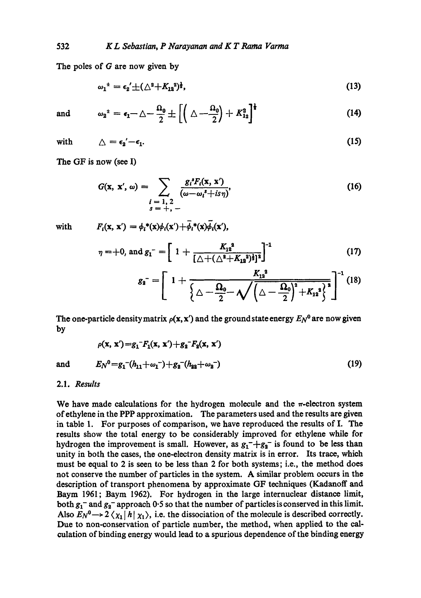The poles of G are now given by

$$
\omega_1^{\pm} = \epsilon_2' \pm (\triangle^2 + K_{12}^2)^{\frac{1}{2}}, \tag{13}
$$

 $\blacksquare$ 

and 
$$
\omega_2^* = \epsilon_1 - \triangle - \frac{\Omega_0}{2} \pm \left[ \left( \triangle - \frac{\Omega_0}{2} \right) + K_{12}^2 \right]^{\dagger}
$$
 (14)

with 
$$
\Delta = \epsilon_2' - \epsilon_1. \tag{15}
$$

The OF is now (see I)

$$
G(\mathbf{x}, \mathbf{x}', \omega) = \sum_{\substack{l = 1, 2 \\ s = +,-}} \frac{g_l^* F_l(\mathbf{x}, \mathbf{x}')}{(\omega - \omega_l^* + i s \eta)},
$$
(16)

with

 $F_i(\mathbf{x}, \mathbf{x}') = \phi_i^*(\mathbf{x})\phi_i(\mathbf{x}') + \bar{\phi}_i^*(\mathbf{x})\bar{\phi}_i(\mathbf{x}'),$ 

$$
\eta = +0, \text{ and } g_1^- = \left[ 1 + \frac{K_{12}^2}{\left[ \triangle + (\triangle^2 + K_{12}^2)^{\frac{1}{2}} \right]^2} \right]^{-1}
$$
 (17)

$$
g_2 = \left[ 1 + \frac{K_{12}^2}{\left\{ \Delta - \frac{\Omega_0}{2} - \sqrt{\left( \Delta - \frac{\Omega_0}{2} \right)^2 + K_{12}^2 \right\}^2}} \right]^{-1} (18)
$$

The one-particle density matrix  $\rho(x, x')$  and the ground state energy  $E_N^0$  are now given **by** 

$$
\rho(\mathbf{x}, \mathbf{x}') = g_1^- F_1(\mathbf{x}, \mathbf{x}') + g_2^- F_2(\mathbf{x}, \mathbf{x}')
$$
  
and 
$$
E_N^0 = g_1^- (h_{11} + \omega_1^-) + g_2^- (h_{22} + \omega_2^-)
$$
 (19)

# 2.1. *Results*

We have made calculations for the hydrogen molecule and the  $\pi$ -electron system of ethylene in the PPP approximation. The parameters used and the results are given in table 1. For purposes of comparison, we have reproduced the results of I. The results show the total energy to be considerably improved for ethylene while for hydrogen the improvement is small. However, as  $g_1^-+g_2^-$  is found to be less than unity in both the cases, the one-electron density matrix is in error. Its trace, which must be equal to 2 is seen to be less than 2 for both systems; i.e., the method does not conserve the number of particles in the system. A similar problem occurs in the description of transport phenomena by approximate GF techniques (Kadanoff and Baym 1961; Baym 1962). For hydrogen in the large internuclear distance limit, both  $g_1$ <sup>-</sup> and  $g_2$ <sup>-</sup> approach 0.5 so that the number of particles is conserved in this limit. Also  $E_N^0 \rightarrow 2 \langle \chi_1 | h | \chi_1 \rangle$ , i.e. the dissociation of the molecule is described correctly. Due to non-conservation of particle number, the method, when applied to the calculation of binding energy would lead to a spurious dependence of the binding energy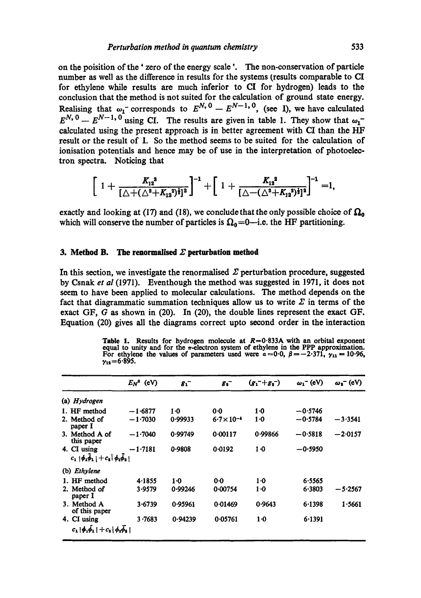on the poisition of the' zero of the energy scale '. The non-conservation of particle number as well as the difference in results for the systems (results comparable to CI for ethylene while results are much inferior to CI for hydrogen) leads to the conclusion that the method is not suited for the calculation of ground state energy. Realising that  $\omega_1$  corresponds to  $E^{N, 0} - E^{N-1, 0}$ , (see I), we have calculated  $E^{N, 0} - E^{N-1, 0}$  using CI. The results are given in table 1. They show that  $\omega_1$ calculated using the present approach is in better agreement with CI than the HF result or the result of I. So the method seems to be suited for the calculation of ionisation potentials and hence may be of use in the interpretation of photoelectron spectra. Noticing that

$$
\left[1+\frac{K_{12}^{3}}{[\triangle+(\triangle^{2}+K_{12}^{3})^{\frac{1}{2}}]^{2}}\right]^{-1}+\left[1+\frac{K_{13}^{3}}{[\triangle-(\triangle^{2}+K_{12}^{3})^{\frac{1}{2}}]^{2}}\right]^{-1}=1,
$$

exactly and looking at (17) and (18), we conclude that the only possible choice of  $\Omega_0$ which will conserve the number of particles is  $\Omega_0 = 0$ -i.e. the HF partitioning.

# **3. Method B. The renormalised**  $\Sigma$  **perturbation method**

In this section, we investigate the renormalised  $\Sigma$  perturbation procedure, suggested by Csnak *et al* (1971). Eventhough the method was suggested in 1971, it does not seem to have been applied to molecular calculations. The method depends on the fact that diagrammatic summation techniques allow us to write  $\Sigma$  in terms of the exact GF, G as shown in (20). In (20), the double lines represent the exact GF. Equation (20) gives all the diagrams correct upto second order in the interaction

Table 1. Results for hydrogen molecule at  $R=0.833$ A with an orbital exponent equal to unity and for the  $\pi$ -electron system of ethylene in the PPP approximation.<br>For ethylene the values of parameters used were  $\alpha = 0.0$  $\gamma_{11}=6.895$ .

|                                                                        | $E_N^0$ (eV) | 8 <sub>1</sub> | 8 <sup>2</sup>       | $(g_1^- + g_1^-)$ | $\omega_1$ <sup>-</sup> (eV) | $\omega_{s}$ (eV) |
|------------------------------------------------------------------------|--------------|----------------|----------------------|-------------------|------------------------------|-------------------|
| (a) $Hydrogen$                                                         |              |                |                      |                   |                              |                   |
| 1. HF method                                                           | $-1.6877$    | $1-0$          | 0.0                  | $1-0$             | $-0.5746$                    |                   |
| 2. Method of<br>paper I                                                | $-1.7030$    | 0.99933        | $6.7 \times 10^{-4}$ | $1-0$             | $-0.5784$                    | $-3.3541$         |
| 3. Method A of<br>this paper                                           | $-1.7040$    | 0.99749        | 0.00117              | 0.99866           | $-0.5818$                    | $-2.0157$         |
| 4. CI using<br>$c_1$   $\phi_1\phi_1$   $+c_2$   $\phi_2\phi_2$        | $-1.7181$    | 0.9808         | 0.0192               | $1-0$             | $-0.5950$                    |                   |
| (b) <i>Ethylene</i>                                                    |              |                |                      |                   |                              |                   |
| 1. HF method                                                           | 4.1855       | 1·0            | 0.0                  | $1-0$             | 6.5565                       |                   |
| 2. Method of<br>paper I                                                | 3.9579       | 0.99246        | 0.00754              | $1-0$             | 6.3803                       | $-5.2567$         |
| 3. Method A<br>of this paper                                           | 3.6739       | 0.95961        | 0.01469              | 0.9643            | 6.1398                       | 1.5661            |
| 4. CI using<br>$c_1  \phi_1 \bar{\phi}_1  + c_1  \phi_2 \bar{\phi}_2 $ | 3.7683       | 0.94239        | 0.05761              | $1-0$             | 6.1391                       |                   |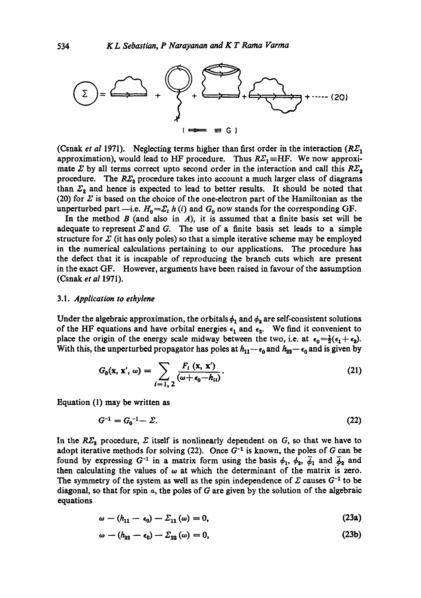

(Csnak *et al* 1971). Neglecting terms higher than first order in the interaction  $(R\Sigma_1)$ approximation), would lead to HF procedure. Thus  $R\Sigma_1$ =HF. We now approximate  $\Sigma$  by all terms correct upto second order in the interaction and call this  $R\Sigma_2$ procedure. The  $R\Sigma_2$  procedure takes into account a much larger class of diagrams than  $\Sigma_2$  and hence is expected to lead to better results. It should be noted that (20) for  $\Sigma$  is based on the choice of the one-electron part of the Hamiltonian as the unperturbed part --i.e.  $H_0 = \Sigma_i h(i)$  and  $G_0$  now stands for the corresponding GF.

In the method  $B$  (and also in  $A$ ), it is assumed that a finite basis set will be adequate to represent  $\Sigma$  and  $G$ . The use of a finite basis set leads to a simple structure for  $\Sigma$  (it has only poles) so that a simple iterative scheme may be employed in the numerical calculations pertaining to our applications. The procedure has the defect that it is incapable of reproducing the branch cuts which are present in the exact GF. However, arguments have been raised in favour of the assumption (Csnak *et al* 1971).

#### *3.1. Application to ethylene*

Under the algebraic approximation, the orbitals  $\phi_1$  and  $\phi_2$  are self-consistent solutions of the HF equations and have orbital energies  $\epsilon_1$  and  $\epsilon_2$ . We find it convenient to place the origin of the energy scale midway between the two, i.e. at  $\epsilon_0 = \frac{1}{2}(\epsilon_1 + \epsilon_2)$ . With this, the unperturbed propagator has poles at  $h_{11}-\epsilon_0$  and  $h_{22}-\epsilon_0$  and is given by

$$
G_0(\mathbf{x}, \mathbf{x}', \omega) = \sum_{i=1,2} \frac{F_i(\mathbf{x}, \mathbf{x}')}{(\omega + \epsilon_0 - h_{ii})}.
$$
 (21)

Equation (1) may be written as

$$
G^{-1} = G_0^{-1} - \Sigma. \tag{22}
$$

In the  $R\mathbb{Z}_2$  procedure,  $\Sigma$  itself is nonlinearly dependent on G, so that we have to adopt iterative methods for solving (22). Once  $G^{-1}$  is known, the poles of G can be found by expressing  $G^{-1}$  in a matrix form using the basis  $\phi_1$ ,  $\phi_2$ ,  $\phi_1$  and  $\phi_2$  and then calculating the values of  $\omega$  at which the determinant of the matrix is zero. The symmetry of the system as well as the spin independence of  $\Sigma$  causes  $G^{-1}$  to be diagonal, so that for spin  $\alpha$ , the poles of G are given by the solution of the algebraic equations

$$
\omega - (h_{11} - \epsilon_0) - \Sigma_{11}(\omega) = 0, \qquad (23a)
$$

$$
\omega - (h_{22} - \epsilon_0) - \Sigma_{22}(\omega) = 0, \qquad (23b)
$$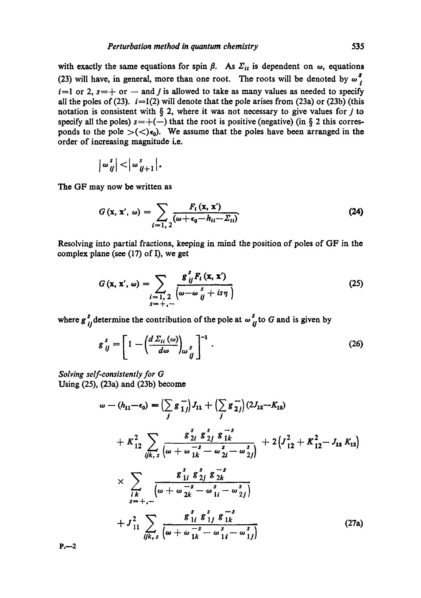with exactly the same equations for spin  $\beta$ . As  $\Sigma_{tt}$  is dependent on  $\omega$ , equations (23) will have, in general, more than one root. The roots will be denoted by  $\omega_i^s$ .  $i=1$  or 2,  $s=+$  or -- and j is allowed to take as many values as needed to specify all the poles of (23).  $i=1(2)$  will denote that the pole arises from (23a) or (23b) (this notation is consistent with  $\S$  2, where it was not necessary to give values for  $j$  to specify all the poles)  $s=+(-)$  that the root is positive (negative) (in § 2 this corresponds to the pole  $>(<)\epsilon_0$ ). We assume that the poles have been arranged in the order of increasing magnitude i.e.

$$
|\omega_{ij}^s|<|\omega_{ij+1}^s|.
$$

The GF may now be written as

$$
G\left(\mathbf{x},\,\mathbf{x}',\,\omega\right)=\sum_{i=1,\,2}\frac{F_i\left(\mathbf{x},\,\mathbf{x}'\right)}{\left(\omega+\epsilon_0-h_{ii}-\Sigma_{ii}\right)}.\tag{24}
$$

Resolving into partial fractions, keeping in mind the position of poles of GF in the complex plane (see (17) of I), we get

$$
G(\mathbf{x}, \mathbf{x}', \omega) = \sum_{\substack{i=1, 2 \\ s = +,-}} \frac{g_{ij}^s F_t(\mathbf{x}, \mathbf{x}')}{\left(\omega - \omega_{ij}^s + i s \eta\right)}
$$
(25)

where  $g_{ij}^s$  determine the contribution of the pole at  $\omega_{ij}^s$  to G and is given by

$$
g_{ij}^s = \left[1 - \left(\frac{d\,\Sigma_{ii}\,(\omega)}{d\,\omega}\right)_{\omega\,j}^s\right]^{-1}.\tag{26}
$$

*Solving self-consistently for G*  Using (25), (23a) and (23b) become

$$
\omega - (h_{11} - \epsilon_0) = \left(\sum_j g_{1j}^{-}\right)J_{11} + \left(\sum_j g_{2j}^{-}\right)(2J_{12} - K_{12})
$$
  
+  $K_{12}^2 \sum_{ijk, s} \frac{g_{2i}^s g_{2j}^s g_{1k}^{-s}}{\left(\omega + \omega_{1k}^{-s} - \omega_{2i}^s - \omega_{2j}^s\right)} + 2\left(J_{12}^2 + K_{12}^2 - J_{12}K_{12}\right)$   

$$
\times \sum_{\substack{i,k \\ i \neq +,-}} \frac{g_{1i}^s g_{2j}^s g_{2k}^{-s}}{\left(\omega + \omega_{2k}^{-s} - \omega_{1i}^s - \omega_{2j}^s\right)}
$$
  
+  $J_{11}^2 \sum_{ijk, s} \frac{g_{1i}^s g_{1j}^s g_{1k}^{-s}}{\left(\omega + \omega_{1k}^{-s} - \omega_{1i}^s - \omega_{1j}^s\right)}$  (27a)

 $P -2$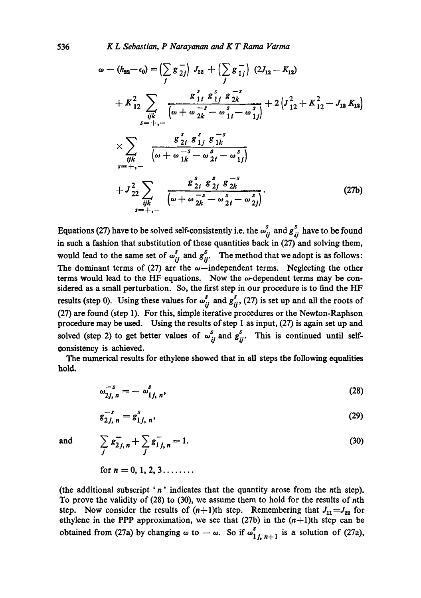536 *K L Sebastian, P Narayanan and K T Rama Varma* 

$$
\omega - (h_{22} - \epsilon_0) = \left(\sum_j g_{2j}^{-}\right) J_{22} + \left(\sum_j g_{1j}^{-}\right) (2J_{12} - K_{12})
$$
  
+  $K_{12}^2 \sum_{ijk} \frac{g_{1i}^s g_{1j}^s g_{2k}^{-s}}{\left(\omega + \omega_{2k}^{-s} - \omega_{1i}^s - \omega_{1j}^s\right)} + 2\left(J_{12}^2 + K_{12}^2 - J_{12} K_{12}\right)$   

$$
\times \sum_{ijk} \frac{g_{2i}^s g_{1j}^s g_{1k}^{-s}}{\left(\omega + \omega_{1k}^{-s} - \omega_{2i}^s - \omega_{1j}^s\right)}
$$
  
+  $J_{22}^2 \sum_{ijk} \frac{g_{2i}^s g_{2j}^s g_{2k}^{-s}}{\left(\omega + \omega_{2k}^{-s} - \omega_{2i}^s - \omega_{2j}^s\right)}$  (27b)

Equations (27) have to be solved self-consistently i.e. the  $\omega_{ii}^s$  and  $g_{ii}^s$  have to be found in such a fashion that substitution of these quantities back in (27) and solving them, would lead to the same set of  $\omega_{ij}^s$  and  $g_{ij}^s$ . The method that we adopt is as follows: The dominant terms of (27) are the  $\omega$ -independent terms. Neglecting the other terms would lead to the HF equations. Now the  $\omega$ -dependent terms may be considered as a small perturbation. So, the first step in our procedure is to find the HF results (step 0). Using these values for  $\omega_{ij}^s$  and  $g_{ij}^s$ , (27) is set up and all the roots of (27) are found (step 1). For this, simple iterative procedures or the Newton-Raphson procedure may be used. Using the results of step 1 as input, (27) is again set up and solved (step 2) to get better values of  $\omega_{ij}^s$  and  $g_{ij}^s$ . This is continued until selfoonsistency is achieved.

The numerical results for ethylene showed that in all steps the following equalities hold.

$$
\omega_{2j, n}^{-s} = -\omega_{1j, n}^{s}, \qquad (28)
$$

$$
g_{2j, n}^{-s} = g_{1j, n}^{s}, \tag{29}
$$

and

$$
\sum_{j} \bar{s}_{2j,n}^{-} + \sum_{j} \bar{s}_{1j,n}^{-} = 1. \tag{30}
$$

for 
$$
n = 0, 1, 2, 3, \ldots
$$

(the additional subscript 'n' indicates that the quantity arose from the nth step). To prove the validity of (28) to (30), we assume them to hold for the results of nth step. Now consider the results of  $(n+1)$ th step. Remembering that  $J_{11} = J_{22}$  for ethylene in the PPP approximation, we see that (27b) in the  $(n+1)$ th step can be obtained from (27a) by changing  $\omega$  to  $-\omega$ . So if  $\omega_{1j, n+1}^s$  is a solution of (27a),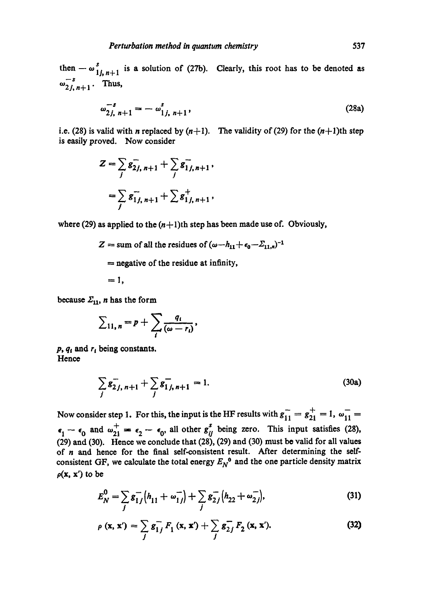$$
\omega_{2j, n+1}^{-s} = -\omega_{1j, n+1}^{s}, \tag{28a}
$$

i.e. (28) is valid with *n* replaced by  $(n+1)$ . The validity of (29) for the  $(n+1)$ th step is easily proved. Now consider

$$
Z = \sum_{j} g_{2j, n+1}^{-} + \sum_{j} g_{1j, n+1}^{-},
$$
  
= 
$$
\sum_{j} g_{1j, n+1}^{-} + \sum_{j} g_{1j, n+1}^{+},
$$

where (29) as applied to the  $(n+1)$ th step has been made use of. Obviously,

 $Z =$  sum of all the residues of  $(\omega - h_{11} + \epsilon_0 - \Sigma_{11,n})^{-1}$ 

 $=$  negative of the residue at infinity,

 $=1$ 

**because**  $\Sigma_{11}$ , *n* has the form

$$
\sum_{11,\,n}=p+\sum_i\frac{q_i}{(\omega-r_i)},
$$

 $p, q_i$  and  $r_i$  being constants. **Hence** 

$$
\sum_{j} g_{2j, n+1}^{-} + \sum_{j} g_{1j, n+1}^{-} = 1.
$$
 (30a)

Now consider step 1. For this, the input is the HF results with  $g_{11} = g_{21}^+ = 1$ ,  $\omega_{11}^- =$  $\epsilon_1 - \epsilon_0$  and  $\omega_{21}^+ = \epsilon_2 - \epsilon_0$ , all other  $g_{ij}^s$  being zero. This input satisfies (28), (29) and (30). Hence we conclude that (28), (29) and (30) must be valid for all values of n and hence for the final self-consistent result. After determining the selfconsistent GF, we calculate the total energy  $E_N^0$  and the one particle density matrix  $\rho(x, x')$  to be

$$
E_N^0 = \sum_j g_{1j}^- (h_{11} + \omega_{1j}^-) + \sum_j g_{2j}^- (h_{22} + \omega_{2j}^-), \tag{31}
$$

$$
\rho(x, x') = \sum_{j} g_{1j}^{-} F_1(x, x') + \sum_{j} g_{2j}^{-} F_2(x, x').
$$
 (32)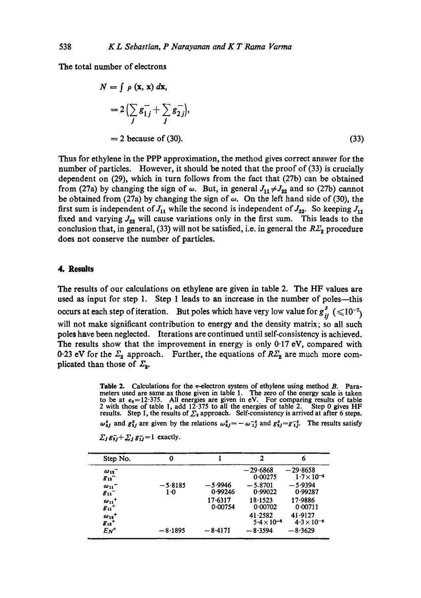The total number of electrons

$$
N = \int \rho \left(\mathbf{x}, \mathbf{x}\right) d\mathbf{x},
$$
  
=  $2\left(\sum_{j} g_{1j} - \sum_{j} g_{2j}\right),$   
= 2 because of (30). (33)

Thus for ethylene in the PPP approximation, the method gives correct answer for the number of particles. However, it should be noted that the proof of (33) is crucially dependent on (29), which in turn follows from the fact that (27b) can be obtained from (27a) by changing the sign of  $\omega$ . But, in general  $J_{11} \neq J_{22}$  and so (27b) cannot be obtained from (27a) by changing the sign of  $\omega$ . On the left hand side of (30), the first sum is independent of  $J_{11}$  while the second is independent of  $J_{22}$ . So keeping  $J_{11}$ fixed and varying  $J_{22}$  will cause variations only in the first sum. This leads to the conclusion that, in general, (33) will not be satisfied, i.e. in general the  $R\mathcal{Z}_2$  procedure does not conserve the number of particles.

## 4. Results

The results of our calculations on ethylene are given in table 2. The HF values are used as input for step 1. Step 1 leads to an increase in the number of poles--this occurs at each step of iteration. But poles which have very low value for  $g_{ii}^s \leq 10^{-7}$ will not make significant contribution to energy and the density matrix; so all such poles have been neglected. Iterations are continued until self-consistency is achieved. The results show that the improvement in energy is only  $0.17$  eV, compared with 0.23 eV for the  $\Sigma_2$  approach. Further, the equations of  $R\overline{\Sigma}_2$  are much more complicated than those of  $\mathcal{Z}_2$ .

**Table 2.** Calculations for the  $\pi$ -electron system of ethylene using method  $\vec{B}$ . Parameters used are same as those given in table 1. The zero of the energy scale is taken to be at  $\epsilon_0 = 12.375$ . All energies are given in eV. For comparing results of table 2 with those of table 1, add 12.375 to all the energies of table 2. Step 0 gives HF results. Step 1, the results of  $\Sigma_3$  approach. Self-consistency is arrived at after 6 steps.

 $\omega_{ij}^s$  and  $g_{ij}^s$  are given by the relations  $\omega_{ij}^s = -\omega_{1j}^{-s}$  and  $g_{ij}^s = g_{1j}^{-s}$ . The results satisfy

|  | $\Sigma_j g_{\overline{i}j} + \Sigma_j g_{\overline{i}j} = 1$ exactly. |  |
|--|------------------------------------------------------------------------|--|
|--|------------------------------------------------------------------------|--|

| Step No.                                                                                        | 0               |                    | 2                               | 6                                  |
|-------------------------------------------------------------------------------------------------|-----------------|--------------------|---------------------------------|------------------------------------|
| $\omega_{12}^-$<br>$g_{12}^-$                                                                   |                 |                    | $-29.6868$<br>0.00275           | $-29.8658$<br>$1.7 \times 10^{-5}$ |
| $\omega_{11}^-$<br>$g_{11}^-$                                                                   | $-5.8185$<br>10 | —5∙9946<br>0.99246 | $-5.8701$<br>0.99022            | $-5.9394$<br>0.99287               |
| $\omega_{11}$ <sup>+</sup><br>$g_{11}$ <sup>+</sup>                                             |                 | 17-6317<br>0.00754 | 18 1523<br>0.00702              | 17-9886<br>0.00711                 |
| $\begin{array}{c}\n\omega_{12}^{\phantom{1}} \\ \hline\n\delta_{12}^{\phantom{1}}\n\end{array}$ |                 |                    | 41.2582<br>$5.4 \times 10^{-6}$ | 41.9127<br>$4.3 \times 10^{-6}$    |
| $E_N$ °                                                                                         | — 8∙1895        | $-8.4171$          | $-8.3594$                       | $-8.3629$                          |